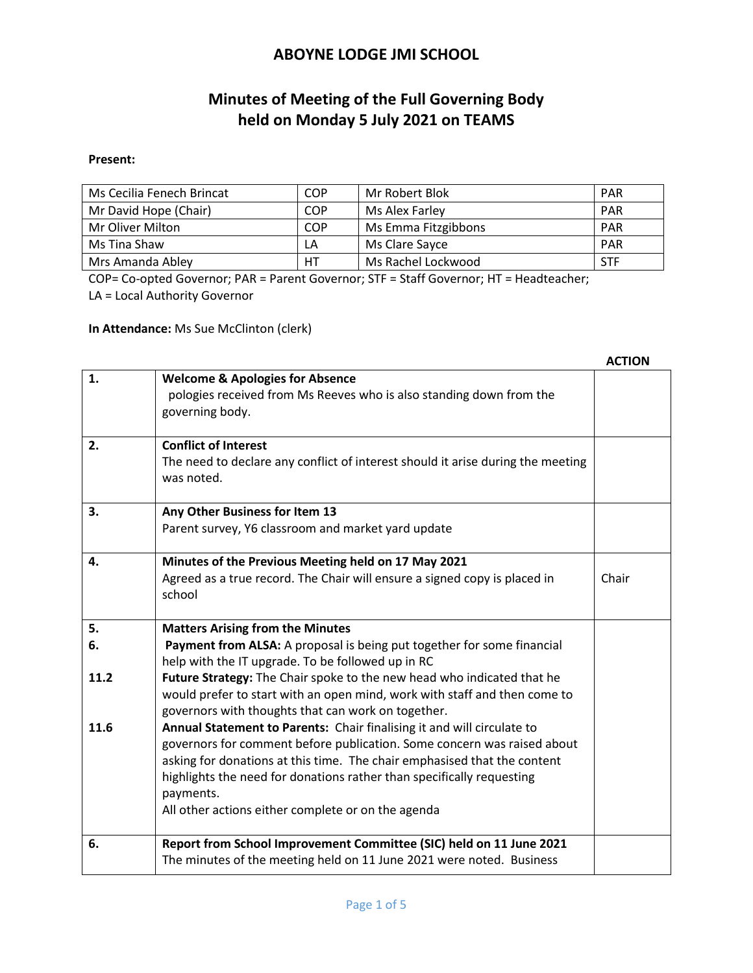# **Minutes of Meeting of the Full Governing Body held on Monday 5 July 2021 on TEAMS**

#### **Present:**

| Ms Cecilia Fenech Brincat | COP | Mr Robert Blok      | <b>PAR</b> |
|---------------------------|-----|---------------------|------------|
| Mr David Hope (Chair)     | COP | Ms Alex Farley      | <b>PAR</b> |
| Mr Oliver Milton          | COP | Ms Emma Fitzgibbons | <b>PAR</b> |
| Ms Tina Shaw              | LA  | Ms Clare Sayce      | <b>PAR</b> |
| Mrs Amanda Abley          | HT  | Ms Rachel Lockwood  | <b>STF</b> |

COP= Co-opted Governor; PAR = Parent Governor; STF = Staff Governor; HT = Headteacher; LA = Local Authority Governor

**In Attendance:** Ms Sue McClinton (clerk)

|      |                                                                                                                                                                                                                                                                                                                                                                           | <b>ACTION</b> |
|------|---------------------------------------------------------------------------------------------------------------------------------------------------------------------------------------------------------------------------------------------------------------------------------------------------------------------------------------------------------------------------|---------------|
| 1.   | <b>Welcome &amp; Apologies for Absence</b><br>pologies received from Ms Reeves who is also standing down from the<br>governing body.                                                                                                                                                                                                                                      |               |
| 2.   | <b>Conflict of Interest</b><br>The need to declare any conflict of interest should it arise during the meeting<br>was noted.                                                                                                                                                                                                                                              |               |
| 3.   | Any Other Business for Item 13<br>Parent survey, Y6 classroom and market yard update                                                                                                                                                                                                                                                                                      |               |
| 4.   | Minutes of the Previous Meeting held on 17 May 2021<br>Agreed as a true record. The Chair will ensure a signed copy is placed in<br>school                                                                                                                                                                                                                                | Chair         |
| 5.   | <b>Matters Arising from the Minutes</b>                                                                                                                                                                                                                                                                                                                                   |               |
| 6.   | Payment from ALSA: A proposal is being put together for some financial<br>help with the IT upgrade. To be followed up in RC                                                                                                                                                                                                                                               |               |
| 11.2 | Future Strategy: The Chair spoke to the new head who indicated that he<br>would prefer to start with an open mind, work with staff and then come to<br>governors with thoughts that can work on together.                                                                                                                                                                 |               |
| 11.6 | Annual Statement to Parents: Chair finalising it and will circulate to<br>governors for comment before publication. Some concern was raised about<br>asking for donations at this time. The chair emphasised that the content<br>highlights the need for donations rather than specifically requesting<br>payments.<br>All other actions either complete or on the agenda |               |
| 6.   | Report from School Improvement Committee (SIC) held on 11 June 2021<br>The minutes of the meeting held on 11 June 2021 were noted. Business                                                                                                                                                                                                                               |               |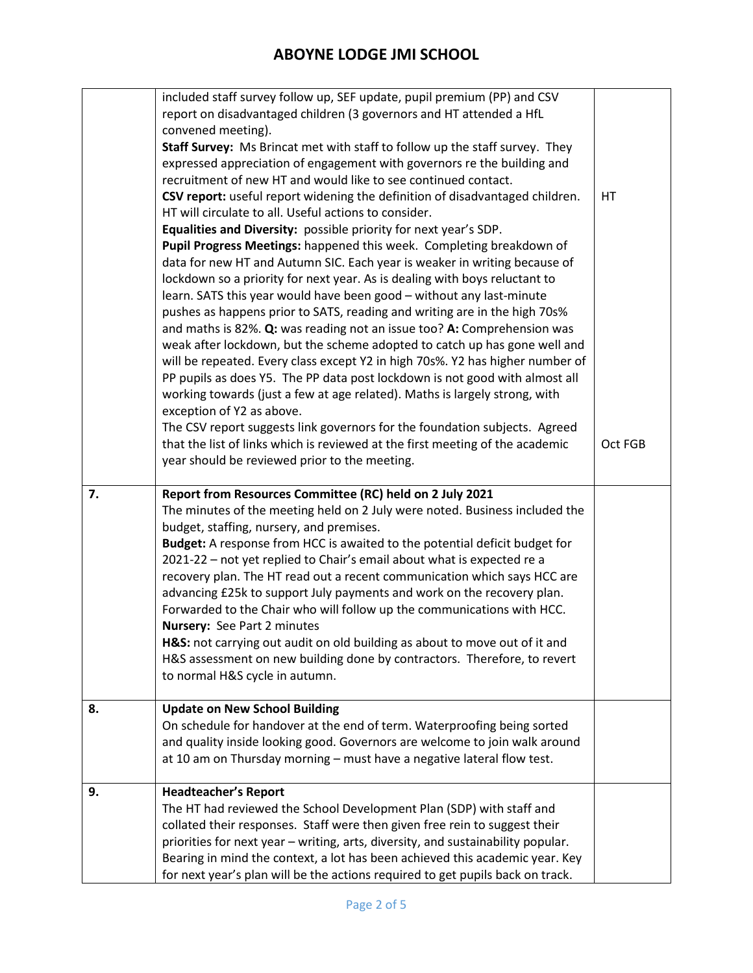|    | included staff survey follow up, SEF update, pupil premium (PP) and CSV<br>report on disadvantaged children (3 governors and HT attended a HfL<br>convened meeting).<br>Staff Survey: Ms Brincat met with staff to follow up the staff survey. They<br>expressed appreciation of engagement with governors re the building and<br>recruitment of new HT and would like to see continued contact. |         |
|----|--------------------------------------------------------------------------------------------------------------------------------------------------------------------------------------------------------------------------------------------------------------------------------------------------------------------------------------------------------------------------------------------------|---------|
|    | CSV report: useful report widening the definition of disadvantaged children.<br>HT will circulate to all. Useful actions to consider.                                                                                                                                                                                                                                                            | HT      |
|    | Equalities and Diversity: possible priority for next year's SDP.                                                                                                                                                                                                                                                                                                                                 |         |
|    | Pupil Progress Meetings: happened this week. Completing breakdown of                                                                                                                                                                                                                                                                                                                             |         |
|    | data for new HT and Autumn SIC. Each year is weaker in writing because of                                                                                                                                                                                                                                                                                                                        |         |
|    | lockdown so a priority for next year. As is dealing with boys reluctant to<br>learn. SATS this year would have been good - without any last-minute                                                                                                                                                                                                                                               |         |
|    | pushes as happens prior to SATS, reading and writing are in the high 70s%                                                                                                                                                                                                                                                                                                                        |         |
|    | and maths is 82%. Q: was reading not an issue too? A: Comprehension was                                                                                                                                                                                                                                                                                                                          |         |
|    | weak after lockdown, but the scheme adopted to catch up has gone well and                                                                                                                                                                                                                                                                                                                        |         |
|    | will be repeated. Every class except Y2 in high 70s%. Y2 has higher number of                                                                                                                                                                                                                                                                                                                    |         |
|    | PP pupils as does Y5. The PP data post lockdown is not good with almost all<br>working towards (just a few at age related). Maths is largely strong, with                                                                                                                                                                                                                                        |         |
|    | exception of Y2 as above.                                                                                                                                                                                                                                                                                                                                                                        |         |
|    | The CSV report suggests link governors for the foundation subjects. Agreed                                                                                                                                                                                                                                                                                                                       |         |
|    | that the list of links which is reviewed at the first meeting of the academic                                                                                                                                                                                                                                                                                                                    | Oct FGB |
|    | year should be reviewed prior to the meeting.                                                                                                                                                                                                                                                                                                                                                    |         |
| 7. | Report from Resources Committee (RC) held on 2 July 2021                                                                                                                                                                                                                                                                                                                                         |         |
|    |                                                                                                                                                                                                                                                                                                                                                                                                  |         |
|    | The minutes of the meeting held on 2 July were noted. Business included the                                                                                                                                                                                                                                                                                                                      |         |
|    | budget, staffing, nursery, and premises.                                                                                                                                                                                                                                                                                                                                                         |         |
|    | Budget: A response from HCC is awaited to the potential deficit budget for                                                                                                                                                                                                                                                                                                                       |         |
|    | 2021-22 - not yet replied to Chair's email about what is expected re a                                                                                                                                                                                                                                                                                                                           |         |
|    | recovery plan. The HT read out a recent communication which says HCC are                                                                                                                                                                                                                                                                                                                         |         |
|    | advancing £25k to support July payments and work on the recovery plan.                                                                                                                                                                                                                                                                                                                           |         |
|    | Forwarded to the Chair who will follow up the communications with HCC.<br>Nursery: See Part 2 minutes                                                                                                                                                                                                                                                                                            |         |
|    | H&S: not carrying out audit on old building as about to move out of it and                                                                                                                                                                                                                                                                                                                       |         |
|    | H&S assessment on new building done by contractors. Therefore, to revert                                                                                                                                                                                                                                                                                                                         |         |
|    | to normal H&S cycle in autumn.                                                                                                                                                                                                                                                                                                                                                                   |         |
| 8. | <b>Update on New School Building</b>                                                                                                                                                                                                                                                                                                                                                             |         |
|    | On schedule for handover at the end of term. Waterproofing being sorted                                                                                                                                                                                                                                                                                                                          |         |
|    | and quality inside looking good. Governors are welcome to join walk around                                                                                                                                                                                                                                                                                                                       |         |
|    | at 10 am on Thursday morning - must have a negative lateral flow test.                                                                                                                                                                                                                                                                                                                           |         |
| 9. | <b>Headteacher's Report</b>                                                                                                                                                                                                                                                                                                                                                                      |         |
|    | The HT had reviewed the School Development Plan (SDP) with staff and                                                                                                                                                                                                                                                                                                                             |         |
|    | collated their responses. Staff were then given free rein to suggest their                                                                                                                                                                                                                                                                                                                       |         |
|    | priorities for next year - writing, arts, diversity, and sustainability popular.<br>Bearing in mind the context, a lot has been achieved this academic year. Key                                                                                                                                                                                                                                 |         |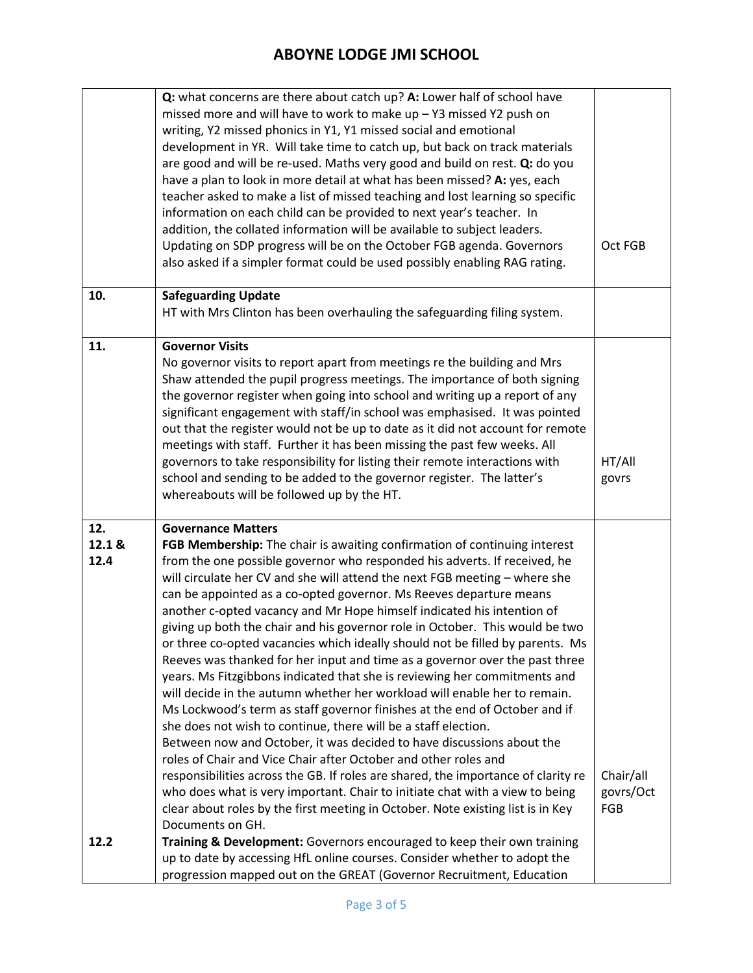|                       | Q: what concerns are there about catch up? A: Lower half of school have<br>missed more and will have to work to make up - Y3 missed Y2 push on<br>writing, Y2 missed phonics in Y1, Y1 missed social and emotional<br>development in YR. Will take time to catch up, but back on track materials<br>are good and will be re-used. Maths very good and build on rest. Q: do you<br>have a plan to look in more detail at what has been missed? A: yes, each<br>teacher asked to make a list of missed teaching and lost learning so specific<br>information on each child can be provided to next year's teacher. In<br>addition, the collated information will be available to subject leaders.                                                                                                                                                                                                                                                                                                                                                                                                                                                                                                                                                                                                                                                                                                     |                                      |
|-----------------------|-----------------------------------------------------------------------------------------------------------------------------------------------------------------------------------------------------------------------------------------------------------------------------------------------------------------------------------------------------------------------------------------------------------------------------------------------------------------------------------------------------------------------------------------------------------------------------------------------------------------------------------------------------------------------------------------------------------------------------------------------------------------------------------------------------------------------------------------------------------------------------------------------------------------------------------------------------------------------------------------------------------------------------------------------------------------------------------------------------------------------------------------------------------------------------------------------------------------------------------------------------------------------------------------------------------------------------------------------------------------------------------------------------|--------------------------------------|
|                       | Updating on SDP progress will be on the October FGB agenda. Governors<br>also asked if a simpler format could be used possibly enabling RAG rating.                                                                                                                                                                                                                                                                                                                                                                                                                                                                                                                                                                                                                                                                                                                                                                                                                                                                                                                                                                                                                                                                                                                                                                                                                                                 | Oct FGB                              |
| 10.                   | <b>Safeguarding Update</b><br>HT with Mrs Clinton has been overhauling the safeguarding filing system.                                                                                                                                                                                                                                                                                                                                                                                                                                                                                                                                                                                                                                                                                                                                                                                                                                                                                                                                                                                                                                                                                                                                                                                                                                                                                              |                                      |
| 11.                   | <b>Governor Visits</b><br>No governor visits to report apart from meetings re the building and Mrs<br>Shaw attended the pupil progress meetings. The importance of both signing<br>the governor register when going into school and writing up a report of any<br>significant engagement with staff/in school was emphasised. It was pointed<br>out that the register would not be up to date as it did not account for remote<br>meetings with staff. Further it has been missing the past few weeks. All<br>governors to take responsibility for listing their remote interactions with<br>school and sending to be added to the governor register. The latter's<br>whereabouts will be followed up by the HT.                                                                                                                                                                                                                                                                                                                                                                                                                                                                                                                                                                                                                                                                                    | HT/All<br>govrs                      |
| 12.<br>12.1 &<br>12.4 | <b>Governance Matters</b><br>FGB Membership: The chair is awaiting confirmation of continuing interest<br>from the one possible governor who responded his adverts. If received, he<br>will circulate her CV and she will attend the next FGB meeting - where she<br>can be appointed as a co-opted governor. Ms Reeves departure means<br>another c-opted vacancy and Mr Hope himself indicated his intention of<br>giving up both the chair and his governor role in October. This would be two<br>or three co-opted vacancies which ideally should not be filled by parents. Ms<br>Reeves was thanked for her input and time as a governor over the past three<br>years. Ms Fitzgibbons indicated that she is reviewing her commitments and<br>will decide in the autumn whether her workload will enable her to remain.<br>Ms Lockwood's term as staff governor finishes at the end of October and if<br>she does not wish to continue, there will be a staff election.<br>Between now and October, it was decided to have discussions about the<br>roles of Chair and Vice Chair after October and other roles and<br>responsibilities across the GB. If roles are shared, the importance of clarity re<br>who does what is very important. Chair to initiate chat with a view to being<br>clear about roles by the first meeting in October. Note existing list is in Key<br>Documents on GH. | Chair/all<br>govrs/Oct<br><b>FGB</b> |
| 12.2                  | Training & Development: Governors encouraged to keep their own training<br>up to date by accessing HfL online courses. Consider whether to adopt the<br>progression mapped out on the GREAT (Governor Recruitment, Education                                                                                                                                                                                                                                                                                                                                                                                                                                                                                                                                                                                                                                                                                                                                                                                                                                                                                                                                                                                                                                                                                                                                                                        |                                      |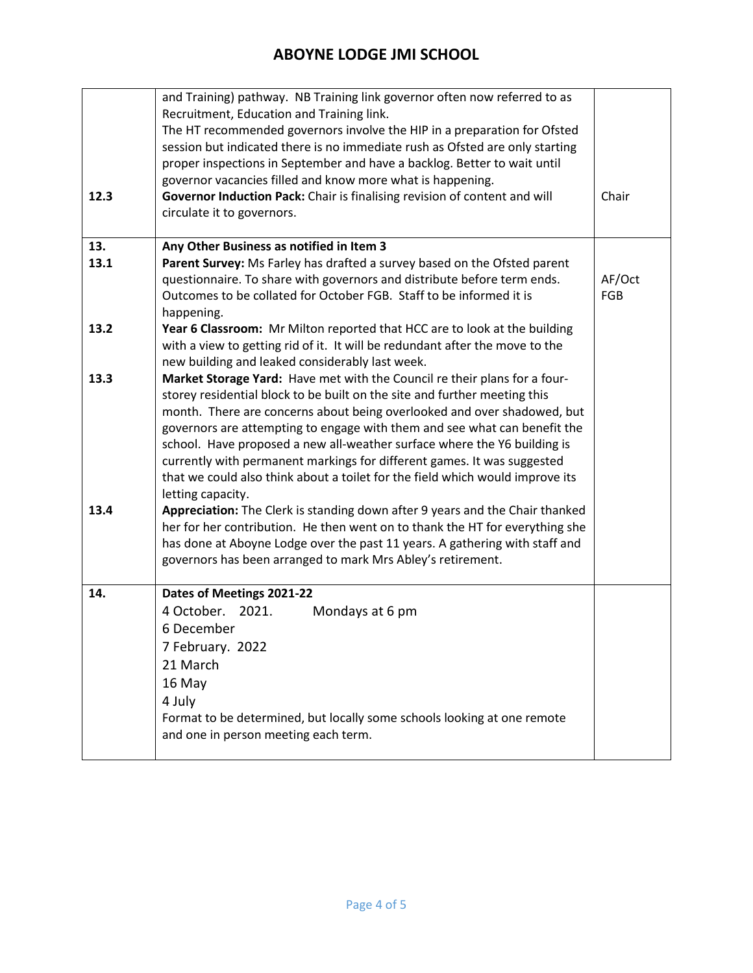|                     | 4 October. 2021.<br>Mondays at 6 pm<br>6 December<br>7 February. 2022<br>21 March<br>16 May<br>4 July<br>Format to be determined, but locally some schools looking at one remote<br>and one in person meeting each term.                                                                                                                                                                                                                                                                                                                                                                                                                                                                                                                                                                                                                                                                                                                                                                                                     |               |
|---------------------|------------------------------------------------------------------------------------------------------------------------------------------------------------------------------------------------------------------------------------------------------------------------------------------------------------------------------------------------------------------------------------------------------------------------------------------------------------------------------------------------------------------------------------------------------------------------------------------------------------------------------------------------------------------------------------------------------------------------------------------------------------------------------------------------------------------------------------------------------------------------------------------------------------------------------------------------------------------------------------------------------------------------------|---------------|
| 14.                 | Dates of Meetings 2021-22                                                                                                                                                                                                                                                                                                                                                                                                                                                                                                                                                                                                                                                                                                                                                                                                                                                                                                                                                                                                    |               |
| 13.3<br>13.4        | with a view to getting rid of it. It will be redundant after the move to the<br>new building and leaked considerably last week.<br>Market Storage Yard: Have met with the Council re their plans for a four-<br>storey residential block to be built on the site and further meeting this<br>month. There are concerns about being overlooked and over shadowed, but<br>governors are attempting to engage with them and see what can benefit the<br>school. Have proposed a new all-weather surface where the Y6 building is<br>currently with permanent markings for different games. It was suggested<br>that we could also think about a toilet for the field which would improve its<br>letting capacity.<br>Appreciation: The Clerk is standing down after 9 years and the Chair thanked<br>her for her contribution. He then went on to thank the HT for everything she<br>has done at Aboyne Lodge over the past 11 years. A gathering with staff and<br>governors has been arranged to mark Mrs Abley's retirement. |               |
| 13.<br>13.1<br>13.2 | Any Other Business as notified in Item 3<br>Parent Survey: Ms Farley has drafted a survey based on the Ofsted parent<br>questionnaire. To share with governors and distribute before term ends.<br>Outcomes to be collated for October FGB. Staff to be informed it is<br>happening.<br>Year 6 Classroom: Mr Milton reported that HCC are to look at the building                                                                                                                                                                                                                                                                                                                                                                                                                                                                                                                                                                                                                                                            | AF/Oct<br>FGB |
| 12.3                | and Training) pathway. NB Training link governor often now referred to as<br>Recruitment, Education and Training link.<br>The HT recommended governors involve the HIP in a preparation for Ofsted<br>session but indicated there is no immediate rush as Ofsted are only starting<br>proper inspections in September and have a backlog. Better to wait until<br>governor vacancies filled and know more what is happening.<br>Governor Induction Pack: Chair is finalising revision of content and will<br>circulate it to governors.                                                                                                                                                                                                                                                                                                                                                                                                                                                                                      | Chair         |